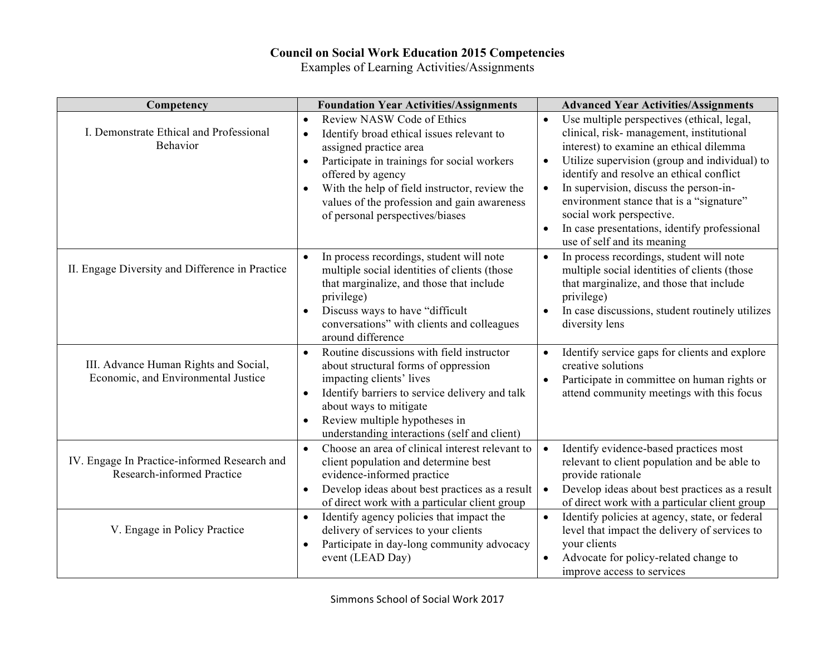## **Council on Social Work Education 2015 Competencies**

Examples of Learning Activities/Assignments

| Competency                                                                 | <b>Foundation Year Activities/Assignments</b>                                                                                                                   | <b>Advanced Year Activities/Assignments</b>                                                                                                                     |
|----------------------------------------------------------------------------|-----------------------------------------------------------------------------------------------------------------------------------------------------------------|-----------------------------------------------------------------------------------------------------------------------------------------------------------------|
| I. Demonstrate Ethical and Professional                                    | <b>Review NASW Code of Ethics</b><br>$\bullet$<br>Identify broad ethical issues relevant to<br>$\bullet$                                                        | Use multiple perspectives (ethical, legal,<br>$\bullet$<br>clinical, risk-management, institutional                                                             |
| Behavior                                                                   | assigned practice area                                                                                                                                          | interest) to examine an ethical dilemma                                                                                                                         |
|                                                                            | Participate in trainings for social workers<br>$\bullet$                                                                                                        | Utilize supervision (group and individual) to<br>$\bullet$                                                                                                      |
|                                                                            | offered by agency                                                                                                                                               | identify and resolve an ethical conflict                                                                                                                        |
|                                                                            | With the help of field instructor, review the<br>$\bullet$                                                                                                      | In supervision, discuss the person-in-<br>$\bullet$                                                                                                             |
|                                                                            | values of the profession and gain awareness                                                                                                                     | environment stance that is a "signature"                                                                                                                        |
|                                                                            | of personal perspectives/biases                                                                                                                                 | social work perspective.                                                                                                                                        |
|                                                                            |                                                                                                                                                                 | In case presentations, identify professional<br>$\bullet$<br>use of self and its meaning                                                                        |
| II. Engage Diversity and Difference in Practice                            | In process recordings, student will note<br>$\bullet$<br>multiple social identities of clients (those<br>that marginalize, and those that include<br>privilege) | In process recordings, student will note<br>$\bullet$<br>multiple social identities of clients (those<br>that marginalize, and those that include<br>privilege) |
|                                                                            | Discuss ways to have "difficult<br>$\bullet$<br>conversations" with clients and colleagues<br>around difference                                                 | In case discussions, student routinely utilizes<br>$\bullet$<br>diversity lens                                                                                  |
|                                                                            | Routine discussions with field instructor<br>$\bullet$                                                                                                          | Identify service gaps for clients and explore                                                                                                                   |
| III. Advance Human Rights and Social,                                      | about structural forms of oppression                                                                                                                            | creative solutions                                                                                                                                              |
| Economic, and Environmental Justice                                        | impacting clients' lives                                                                                                                                        | Participate in committee on human rights or<br>$\bullet$                                                                                                        |
|                                                                            | Identify barriers to service delivery and talk<br>$\bullet$                                                                                                     | attend community meetings with this focus                                                                                                                       |
|                                                                            | about ways to mitigate                                                                                                                                          |                                                                                                                                                                 |
|                                                                            | Review multiple hypotheses in<br>$\bullet$<br>understanding interactions (self and client)                                                                      |                                                                                                                                                                 |
| IV. Engage In Practice-informed Research and<br>Research-informed Practice | Choose an area of clinical interest relevant to<br>$\bullet$<br>client population and determine best<br>evidence-informed practice                              | Identify evidence-based practices most<br>$\bullet$<br>relevant to client population and be able to<br>provide rationale                                        |
|                                                                            | Develop ideas about best practices as a result<br>$\bullet$<br>of direct work with a particular client group                                                    | Develop ideas about best practices as a result<br>of direct work with a particular client group                                                                 |
| V. Engage in Policy Practice                                               | Identify agency policies that impact the<br>$\bullet$                                                                                                           | Identify policies at agency, state, or federal<br>$\bullet$                                                                                                     |
|                                                                            | delivery of services to your clients                                                                                                                            | level that impact the delivery of services to                                                                                                                   |
|                                                                            | Participate in day-long community advocacy<br>$\bullet$                                                                                                         | your clients                                                                                                                                                    |
|                                                                            | event (LEAD Day)                                                                                                                                                | Advocate for policy-related change to<br>improve access to services                                                                                             |